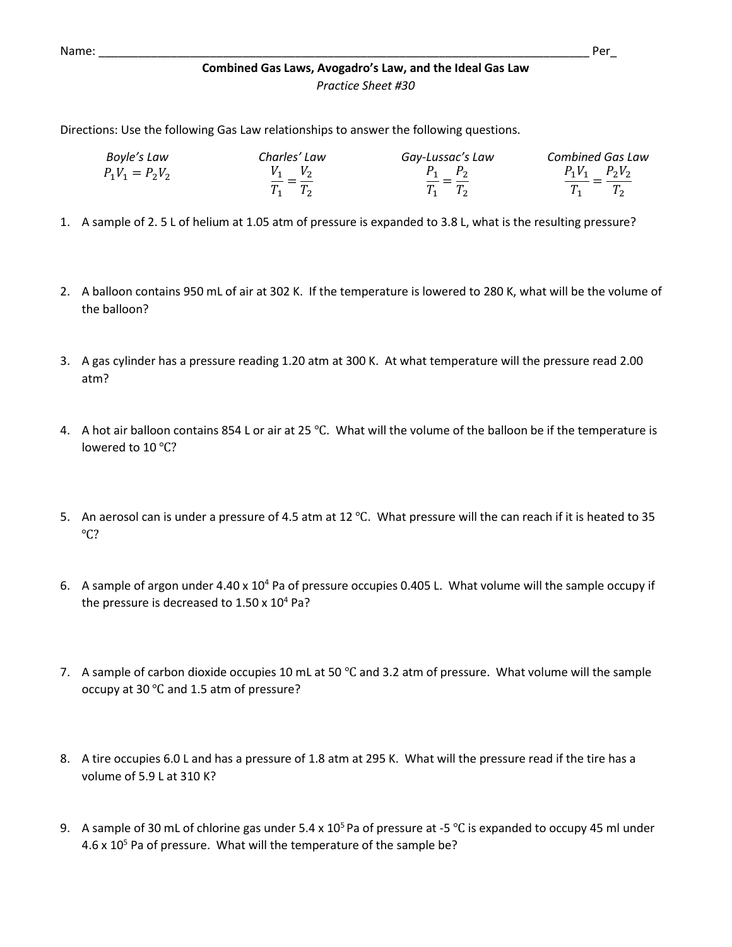Directions: Use the following Gas Law relationships to answer the following questions.

| Boyle's Law       | Charles' Law           | Gay-Lussac's Law       | <b>Combined Gas Law</b> |
|-------------------|------------------------|------------------------|-------------------------|
| $P_1V_1 = P_2V_2$ | $V_1$ $V_2$<br>$- = -$ | $P_1$ $P_2$<br>$- = -$ | $P_1V_1$ $P_2V_2$       |
|                   | $T_1$ $T_2$            | $T_1$ $T_2$            |                         |

- 1. A sample of 2. 5 L of helium at 1.05 atm of pressure is expanded to 3.8 L, what is the resulting pressure?
- 2. A balloon contains 950 mL of air at 302 K. If the temperature is lowered to 280 K, what will be the volume of the balloon?
- 3. A gas cylinder has a pressure reading 1.20 atm at 300 K. At what temperature will the pressure read 2.00 atm?
- 4. A hot air balloon contains 854 L or air at 25 ℃. What will the volume of the balloon be if the temperature is lowered to 10 ℃?
- 5. An aerosol can is under a pressure of 4.5 atm at 12 ℃. What pressure will the can reach if it is heated to 35 ℃?
- 6. A sample of argon under 4.40 x 10<sup>4</sup> Pa of pressure occupies 0.405 L. What volume will the sample occupy if the pressure is decreased to  $1.50 \times 10^4$  Pa?
- 7. A sample of carbon dioxide occupies 10 mL at 50 °C and 3.2 atm of pressure. What volume will the sample occupy at 30 ℃ and 1.5 atm of pressure?
- 8. A tire occupies 6.0 L and has a pressure of 1.8 atm at 295 K. What will the pressure read if the tire has a volume of 5.9 L at 310 K?
- 9. A sample of 30 mL of chlorine gas under 5.4 x 10<sup>5</sup> Pa of pressure at -5 °C is expanded to occupy 45 ml under  $4.6 \times 10^5$  Pa of pressure. What will the temperature of the sample be?